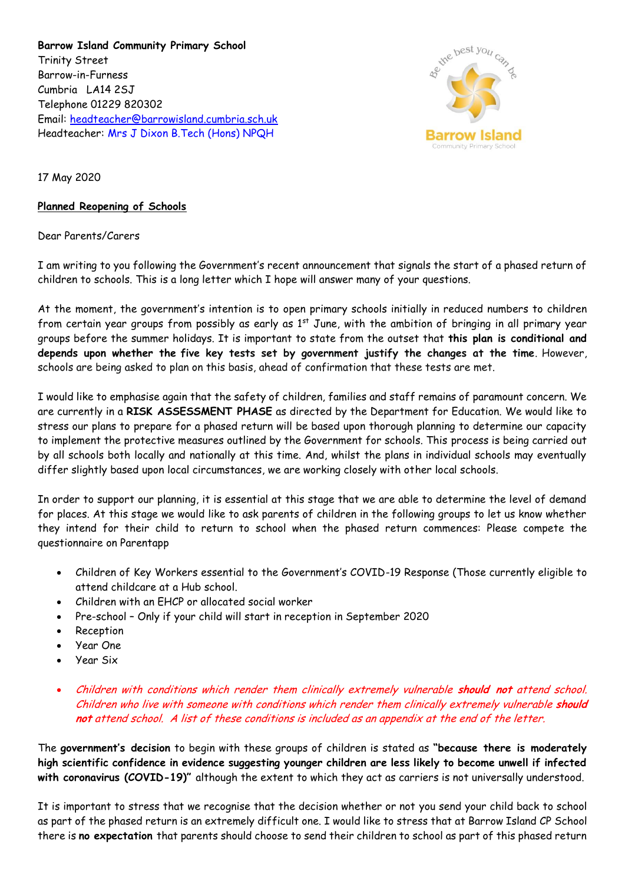**Barrow Island Community Primary School** Trinity Street Barrow-in-Furness Cumbria LA14 2SJ Telephone 01229 820302 Email: [headteacher@barrowisland.cumbria.sch.uk](mailto:headteacher@barrowisland.cumbria.sch.uk) Headteacher: Mrs J Dixon B.Tech (Hons) NPQH



17 May 2020

## **Planned Reopening of Schools**

Dear Parents/Carers

I am writing to you following the Government's recent announcement that signals the start of a phased return of children to schools. This is a long letter which I hope will answer many of your questions.

At the moment, the government's intention is to open primary schools initially in reduced numbers to children from certain year groups from possibly as early as 1<sup>st</sup> June, with the ambition of bringing in all primary year groups before the summer holidays. It is important to state from the outset that **this plan is conditional and depends upon whether the five key tests set by government justify the changes at the time**. However, schools are being asked to plan on this basis, ahead of confirmation that these tests are met.

I would like to emphasise again that the safety of children, families and staff remains of paramount concern. We are currently in a **RISK ASSESSMENT PHASE** as directed by the Department for Education. We would like to stress our plans to prepare for a phased return will be based upon thorough planning to determine our capacity to implement the protective measures outlined by the Government for schools. This process is being carried out by all schools both locally and nationally at this time. And, whilst the plans in individual schools may eventually differ slightly based upon local circumstances, we are working closely with other local schools.

In order to support our planning, it is essential at this stage that we are able to determine the level of demand for places. At this stage we would like to ask parents of children in the following groups to let us know whether they intend for their child to return to school when the phased return commences: Please compete the questionnaire on Parentapp

- Children of Key Workers essential to the Government's COVID-19 Response (Those currently eligible to attend childcare at a Hub school.
- Children with an EHCP or allocated social worker
- Pre-school Only if your child will start in reception in September 2020
- Reception
- Year One
- Year Six
- Children with conditions which render them clinically extremely vulnerable **should not** attend school. Children who live with someone with conditions which render them clinically extremely vulnerable **should not** attend school. A list of these conditions is included as an appendix at the end of the letter.

The **government's decision** to begin with these groups of children is stated as **"because there is moderately high scientific confidence in evidence suggesting younger children are less likely to become unwell if infected with coronavirus (COVID-19)"** although the extent to which they act as carriers is not universally understood.

It is important to stress that we recognise that the decision whether or not you send your child back to school as part of the phased return is an extremely difficult one. I would like to stress that at Barrow Island CP School there is **no expectation** that parents should choose to send their children to school as part of this phased return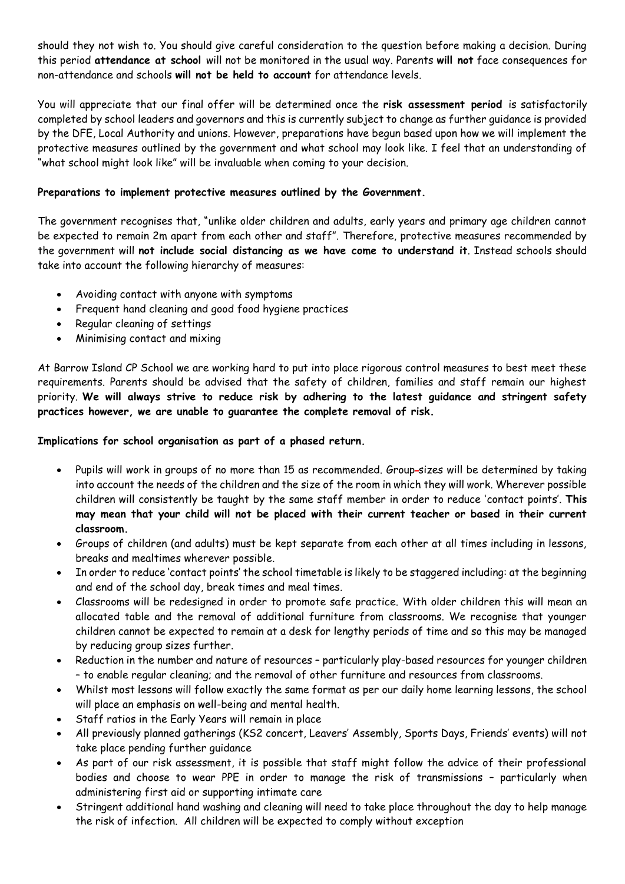should they not wish to. You should give careful consideration to the question before making a decision. During this period **attendance at school** will not be monitored in the usual way. Parents **will not** face consequences for non-attendance and schools **will not be held to account** for attendance levels.

You will appreciate that our final offer will be determined once the **risk assessment period** is satisfactorily completed by school leaders and governors and this is currently subject to change as further guidance is provided by the DFE, Local Authority and unions. However, preparations have begun based upon how we will implement the protective measures outlined by the government and what school may look like. I feel that an understanding of "what school might look like" will be invaluable when coming to your decision.

## **Preparations to implement protective measures outlined by the Government.**

The government recognises that, "unlike older children and adults, early years and primary age children cannot be expected to remain 2m apart from each other and staff". Therefore, protective measures recommended by the government will **not include social distancing as we have come to understand it**. Instead schools should take into account the following hierarchy of measures:

- Avoiding contact with anyone with symptoms
- Frequent hand cleaning and good food hygiene practices
- Regular cleaning of settings
- Minimising contact and mixing

At Barrow Island CP School we are working hard to put into place rigorous control measures to best meet these requirements. Parents should be advised that the safety of children, families and staff remain our highest priority. **We will always strive to reduce risk by adhering to the latest guidance and stringent safety practices however, we are unable to guarantee the complete removal of risk.** 

**Implications for school organisation as part of a phased return.**

- Pupils will work in groups of no more than 15 as recommended. Group-sizes will be determined by taking into account the needs of the children and the size of the room in which they will work. Wherever possible children will consistently be taught by the same staff member in order to reduce 'contact points'. **This may mean that your child will not be placed with their current teacher or based in their current classroom.**
- Groups of children (and adults) must be kept separate from each other at all times including in lessons, breaks and mealtimes wherever possible.
- In order to reduce 'contact points' the school timetable is likely to be staggered including: at the beginning and end of the school day, break times and meal times.
- Classrooms will be redesigned in order to promote safe practice. With older children this will mean an allocated table and the removal of additional furniture from classrooms. We recognise that younger children cannot be expected to remain at a desk for lengthy periods of time and so this may be managed by reducing group sizes further.
- Reduction in the number and nature of resources particularly play-based resources for younger children – to enable regular cleaning; and the removal of other furniture and resources from classrooms.
- Whilst most lessons will follow exactly the same format as per our daily home learning lessons, the school will place an emphasis on well-being and mental health.
- Staff ratios in the Early Years will remain in place
- All previously planned gatherings (KS2 concert, Leavers' Assembly, Sports Days, Friends' events) will not take place pending further guidance
- As part of our risk assessment, it is possible that staff might follow the advice of their professional bodies and choose to wear PPE in order to manage the risk of transmissions – particularly when administering first aid or supporting intimate care
- Stringent additional hand washing and cleaning will need to take place throughout the day to help manage the risk of infection. All children will be expected to comply without exception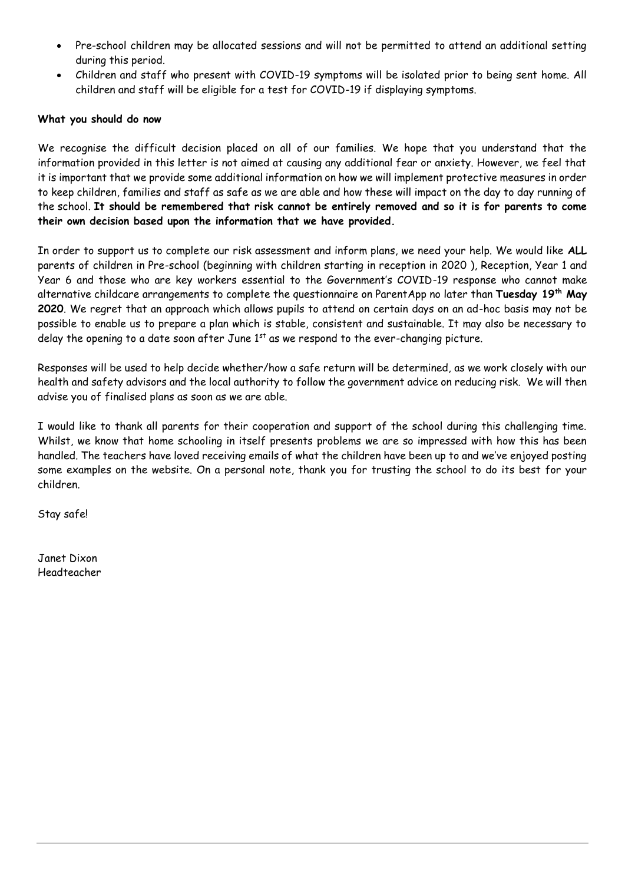- Pre-school children may be allocated sessions and will not be permitted to attend an additional setting during this period.
- Children and staff who present with COVID-19 symptoms will be isolated prior to being sent home. All children and staff will be eligible for a test for COVID-19 if displaying symptoms.

## **What you should do now**

We recognise the difficult decision placed on all of our families. We hope that you understand that the information provided in this letter is not aimed at causing any additional fear or anxiety. However, we feel that it is important that we provide some additional information on how we will implement protective measures in order to keep children, families and staff as safe as we are able and how these will impact on the day to day running of the school. **It should be remembered that risk cannot be entirely removed and so it is for parents to come their own decision based upon the information that we have provided.** 

In order to support us to complete our risk assessment and inform plans, we need your help. We would like **ALL**  parents of children in Pre-school (beginning with children starting in reception in 2020 ), Reception, Year 1 and Year 6 and those who are key workers essential to the Government's COVID-19 response who cannot make alternative childcare arrangements to complete the questionnaire on ParentApp no later than **Tuesday 19th May 2020**. We regret that an approach which allows pupils to attend on certain days on an ad-hoc basis may not be possible to enable us to prepare a plan which is stable, consistent and sustainable. It may also be necessary to delay the opening to a date soon after June  $1<sup>st</sup>$  as we respond to the ever-changing picture.

Responses will be used to help decide whether/how a safe return will be determined, as we work closely with our health and safety advisors and the local authority to follow the government advice on reducing risk. We will then advise you of finalised plans as soon as we are able.

I would like to thank all parents for their cooperation and support of the school during this challenging time. Whilst, we know that home schooling in itself presents problems we are so impressed with how this has been handled. The teachers have loved receiving emails of what the children have been up to and we've enjoyed posting some examples on the website. On a personal note, thank you for trusting the school to do its best for your children.

Stay safe!

Janet Dixon Headteacher